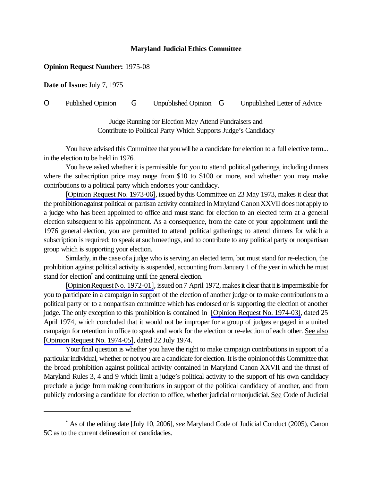## **Maryland Judicial Ethics Committee**

## **Opinion Request Number:** 1975-08

**Date of Issue:** July 7, 1975

O Published Opinion G Unpublished Opinion G Unpublished Letter of Advice

Judge Running for Election May Attend Fundraisers and Contribute to Political Party Which Supports Judge's Candidacy

You have advised this Committee that you will be a candidate for election to a full elective term... in the election to be held in 1976.

You have asked whether it is permissible for you to attend political gatherings, including dinners where the subscription price may range from \$10 to \$100 or more, and whether you may make contributions to a political party which endorses your candidacy.

[\[Opinion Request No. 1973-06\]](http://www.mdcourts.gov/ethics/pdfs/1973-06.pdf), issued bythis Committee on 23 May 1973, makes it clear that the prohibitionagainst political or partisan activity contained in Maryland CanonXXVII does not apply to a judge who has been appointed to office and must stand for election to an elected term at a general election subsequent to his appointment. As a consequence, from the date of your appointment until the 1976 general election, you are permitted to attend political gatherings; to attend dinners for which a subscription is required; to speak at such meetings, and to contribute to any political party or nonpartisan group which is supporting your election.

Similarly, in the case of a judge who is serving an elected term, but must stand for re-election, the prohibition against political activity is suspended, accounting from January 1 of the year in which he must stand for election<sup>\*</sup> and continuing until the general election.

[Opinion Request No. 1972-01], issued on 7 April 1972, makes it clear that it is impermissible for you to participate in a campaign in support of the election of another judge or to make contributions to a political party or to a nonpartisan committee which has endorsed or is supporting the election of another judge. The only exception to this prohibition is contained in [\[Opinion Request No. 1974-03\],](http://www.mdcourts.gov/ethics/pdfs/1974-03.pdf) dated 25 April 1974, which concluded that it would not be improper for a group of judges engaged in a united campaign for retention in office to speak and work for the election or re-election of each other. See also [\[Opinion Request No. 1974-05\],](http://www.mdcourts.gov/ethics/pdfs/1974-05.pdf) dated 22 July 1974.

Your final question is whether you have the right to make campaign contributions in support of a particular individual, whether or not you are a candidate for election. It is the opinion of this Committee that the broad prohibition against political activity contained in Maryland Canon XXVII and the thrust of Maryland Rules 3, 4 and 9 which limit a judge's political activity to the support of his own candidacy preclude a judge from making contributions in support of the political candidacy of another, and from publicly endorsing a candidate for election to office, whether judicial or nonjudicial. See Code of Judicial

<sup>\*</sup> As of the editing date [July 10, 2006], *see* Maryland Code of Judicial Conduct (2005), Canon 5C as to the current delineation of candidacies.